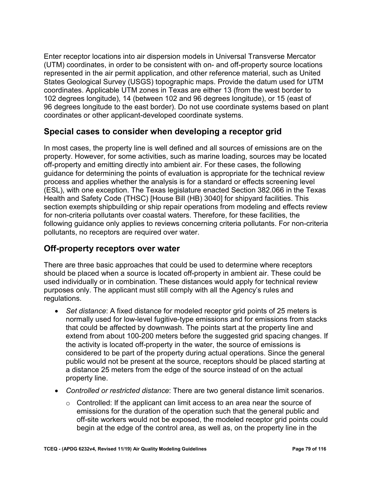represented in the air permit application, and other reference material, such as United 102 degrees longitude), 14 (between 102 and 96 degrees longitude), or 15 (east of Enter receptor locations into air dispersion models in Universal Transverse Mercator (UTM) coordinates, in order to be consistent with on- and off-property source locations States Geological Survey (USGS) topographic maps. Provide the datum used for UTM coordinates. Applicable UTM zones in Texas are either 13 (from the west border to 96 degrees longitude to the east border). Do not use coordinate systems based on plant coordinates or other applicant-developed coordinate systems.

#### **Special cases to consider when developing a receptor grid**

 Health and Safety Code (THSC) [House Bill (HB) 3040] for shipyard facilities. This section exempts shipbuilding or ship repair operations from modeling and effects review for non-criteria pollutants over coastal waters. Therefore, for these facilities, the In most cases, the property line is well defined and all sources of emissions are on the property. However, for some activities, such as marine loading, sources may be located off-property and emitting directly into ambient air. For these cases, the following guidance for determining the points of evaluation is appropriate for the technical review process and applies whether the analysis is for a standard or effects screening level (ESL), with one exception. The Texas legislature enacted Section 382.066 in the Texas following guidance only applies to reviews concerning criteria pollutants. For non-criteria pollutants, no receptors are required over water.

## **Off-property receptors over water**

There are three basic approaches that could be used to determine where receptors should be placed when a source is located off-property in ambient air. These could be used individually or in combination. These distances would apply for technical review purposes only. The applicant must still comply with all the Agency's rules and regulations.

- • *Set distance*: A fixed distance for modeled receptor grid points of 25 meters is normally used for low-level fugitive-type emissions and for emissions from stacks that could be affected by downwash. The points start at the property line and extend from about 100-200 meters before the suggested grid spacing changes. If the activity is located off-property in the water, the source of emissions is considered to be part of the property during actual operations. Since the general public would not be present at the source, receptors should be placed starting at a distance 25 meters from the edge of the source instead of on the actual property line.
- *Controlled or restricted distance*: There are two general distance limit scenarios.
	- $\circ$  Controlled: If the applicant can limit access to an area near the source of emissions for the duration of the operation such that the general public and off-site workers would not be exposed, the modeled receptor grid points could begin at the edge of the control area, as well as, on the property line in the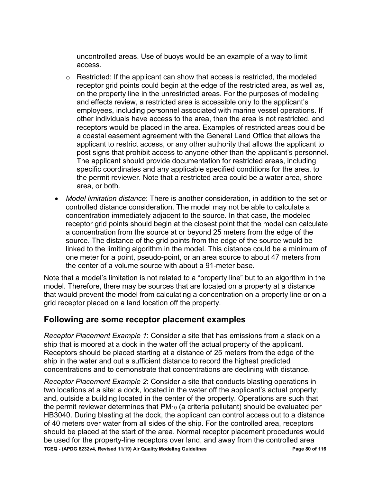uncontrolled areas. Use of buoys would be an example of a way to limit access.

- on the property line in the unrestricted areas. For the purposes of modeling o Restricted: If the applicant can show that access is restricted, the modeled receptor grid points could begin at the edge of the restricted area, as well as, and effects review, a restricted area is accessible only to the applicant's employees, including personnel associated with marine vessel operations. If other individuals have access to the area, then the area is not restricted, and receptors would be placed in the area. Examples of restricted areas could be a coastal easement agreement with the General Land Office that allows the applicant to restrict access, or any other authority that allows the applicant to post signs that prohibit access to anyone other than the applicant's personnel. The applicant should provide documentation for restricted areas, including specific coordinates and any applicable specified conditions for the area, to the permit reviewer. Note that a restricted area could be a water area, shore area, or both.
- controlled distance consideration. The model may not be able to calculate a the center of a volume source with about a 91-meter base. • *Model limitation distance*: There is another consideration, in addition to the set or concentration immediately adjacent to the source. In that case, the modeled receptor grid points should begin at the closest point that the model can calculate a concentration from the source at or beyond 25 meters from the edge of the source. The distance of the grid points from the edge of the source would be linked to the limiting algorithm in the model. This distance could be a minimum of one meter for a point, pseudo-point, or an area source to about 47 meters from

 grid receptor placed on a land location off the property. Note that a model's limitation is not related to a "property line" but to an algorithm in the model. Therefore, there may be sources that are located on a property at a distance that would prevent the model from calculating a concentration on a property line or on a

#### **Following are some receptor placement examples**

 ship that is moored at a dock in the water off the actual property of the applicant. Receptors should be placed starting at a distance of 25 meters from the edge of the *Receptor Placement Example 1*: Consider a site that has emissions from a stack on a ship in the water and out a sufficient distance to record the highest predicted concentrations and to demonstrate that concentrations are declining with distance.

 **TCEQ - (APDG 6232v4, Revised 11/19) Air Quality Modeling Guidelines Page 80 of 116**  be used for the property-line receptors over land, and away from the controlled area *Receptor Placement Example 2*: Consider a site that conducts blasting operations in two locations at a site: a dock, located in the water off the applicant's actual property; and, outside a building located in the center of the property. Operations are such that the permit reviewer determines that PM<sub>10</sub> (a criteria pollutant) should be evaluated per HB3040. During blasting at the dock, the applicant can control access out to a distance of 40 meters over water from all sides of the ship. For the controlled area, receptors should be placed at the start of the area. Normal receptor placement procedures would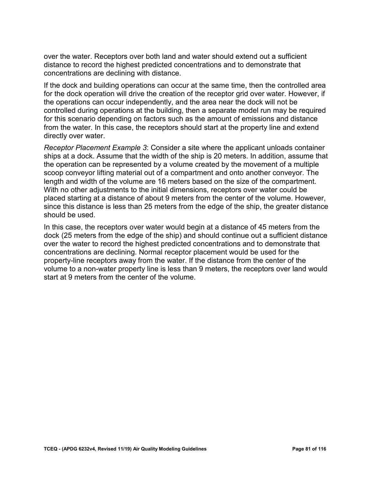over the water. Receptors over both land and water should extend out a sufficient distance to record the highest predicted concentrations and to demonstrate that concentrations are declining with distance.

 the operations can occur independently, and the area near the dock will not be If the dock and building operations can occur at the same time, then the controlled area for the dock operation will drive the creation of the receptor grid over water. However, if controlled during operations at the building, then a separate model run may be required for this scenario depending on factors such as the amount of emissions and distance from the water. In this case, the receptors should start at the property line and extend directly over water.

 ships at a dock. Assume that the width of the ship is 20 meters. In addition, assume that placed starting at a distance of about 9 meters from the center of the volume. However, *Receptor Placement Example 3*: Consider a site where the applicant unloads container the operation can be represented by a volume created by the movement of a multiple scoop conveyor lifting material out of a compartment and onto another conveyor. The length and width of the volume are 16 meters based on the size of the compartment. With no other adjustments to the initial dimensions, receptors over water could be since this distance is less than 25 meters from the edge of the ship, the greater distance should be used.

 In this case, the receptors over water would begin at a distance of 45 meters from the dock (25 meters from the edge of the ship) and should continue out a sufficient distance over the water to record the highest predicted concentrations and to demonstrate that concentrations are declining. Normal receptor placement would be used for the property-line receptors away from the water. If the distance from the center of the volume to a non-water property line is less than 9 meters, the receptors over land would start at 9 meters from the center of the volume.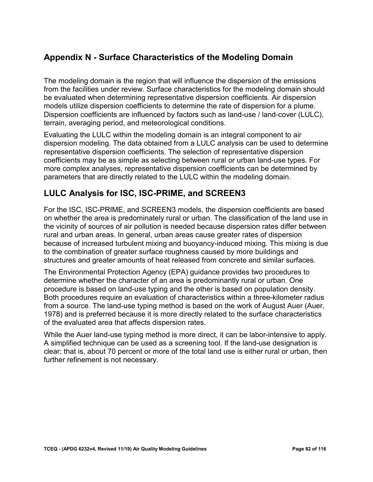# **Appendix N - Surface Characteristics of the Modeling Domain**

 models utilize dispersion coefficients to determine the rate of dispersion for a plume. The modeling domain is the region that will influence the dispersion of the emissions from the facilities under review. Surface characteristics for the modeling domain should be evaluated when determining representative dispersion coefficients. Air dispersion Dispersion coefficients are influenced by factors such as land-use / land-cover (LULC), terrain, averaging period, and meteorological conditions.

 dispersion modeling. The data obtained from a LULC analysis can be used to determine coefficients may be as simple as selecting between rural or urban land-use types. For Evaluating the LULC within the modeling domain is an integral component to air representative dispersion coefficients. The selection of representative dispersion more complex analyses, representative dispersion coefficients can be determined by parameters that are directly related to the LULC within the modeling domain.

## **LULC Analysis for ISC, ISC-PRIME, and SCREEN3**

 on whether the area is predominately rural or urban. The classification of the land use in structures and greater amounts of heat released from concrete and similar surfaces. For the ISC, ISC-PRIME, and SCREEN3 models, the dispersion coefficients are based the vicinity of sources of air pollution is needed because dispersion rates differ between rural and urban areas. In general, urban areas cause greater rates of dispersion because of increased turbulent mixing and buoyancy-induced mixing. This mixing is due to the combination of greater surface roughness caused by more buildings and

 determine whether the character of an area is predominantly rural or urban. One The Environmental Protection Agency (EPA) guidance provides two procedures to procedure is based on land-use typing and the other is based on population density. Both procedures require an evaluation of characteristics within a three-kilometer radius from a source. The land-use typing method is based on the work of August Auer (Auer, 1978) and is preferred because it is more directly related to the surface characteristics of the evaluated area that affects dispersion rates.

 clear; that is, about 70 percent or more of the total land use is either rural or urban, then While the Auer land-use typing method is more direct, it can be labor-intensive to apply. A simplified technique can be used as a screening tool. If the land-use designation is further refinement is not necessary.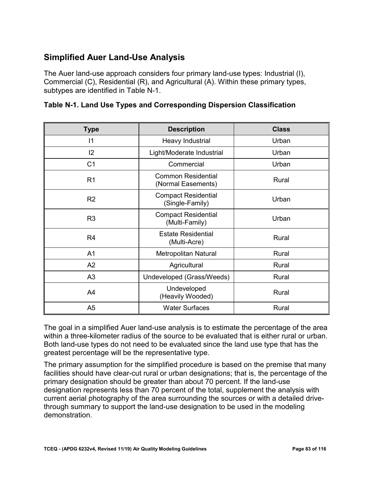# **Simplified Auer Land-Use Analysis**

The Auer land-use approach considers four primary land-use types: Industrial (I), Commercial (C), Residential (R), and Agricultural (A). Within these primary types, subtypes are identified in Table N-1.

| <b>Type</b>    | <b>Description</b>                              | <b>Class</b> |  |
|----------------|-------------------------------------------------|--------------|--|
| 11             | Heavy Industrial                                | Urban        |  |
| 12             | Light/Moderate Industrial                       | Urban        |  |
| C <sub>1</sub> | Commercial                                      | Urban        |  |
| R <sub>1</sub> | <b>Common Residential</b><br>(Normal Easements) | Rural        |  |
| R <sub>2</sub> | <b>Compact Residential</b><br>(Single-Family)   | Urban        |  |
| R <sub>3</sub> | <b>Compact Residential</b><br>(Multi-Family)    | Urban        |  |
| R <sub>4</sub> | <b>Estate Residential</b><br>(Multi-Acre)       | Rural        |  |
| A <sub>1</sub> | <b>Metropolitan Natural</b>                     | Rural        |  |
| A2             | Agricultural                                    | Rural        |  |
| A <sub>3</sub> | Undeveloped (Grass/Weeds)                       | Rural        |  |
| A4             | Undeveloped<br>(Heavily Wooded)                 | Rural        |  |
| A <sub>5</sub> | <b>Water Surfaces</b>                           | Rural        |  |

 within a three-kilometer radius of the source to be evaluated that is either rural or urban. Both land-use types do not need to be evaluated since the land use type that has the The goal in a simplified Auer land-use analysis is to estimate the percentage of the area greatest percentage will be the representative type.

 The primary assumption for the simplified procedure is based on the premise that many facilities should have clear-cut rural or urban designations; that is, the percentage of the primary designation should be greater than about 70 percent. If the land-use designation represents less than 70 percent of the total, supplement the analysis with current aerial photography of the area surrounding the sources or with a detailed drivethrough summary to support the land-use designation to be used in the modeling demonstration.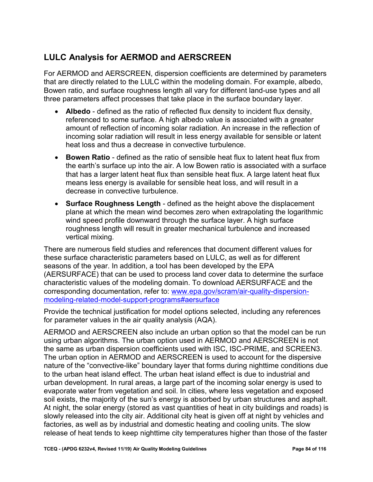# **LULC Analysis for AERMOD and AERSCREEN**

 that are directly related to the LULC within the modeling domain. For example, albedo, Bowen ratio, and surface roughness length all vary for different land-use types and all For AERMOD and AERSCREEN, dispersion coefficients are determined by parameters three parameters affect processes that take place in the surface boundary layer.

- • **Albedo**  defined as the ratio of reflected flux density to incident flux density, referenced to some surface. A high albedo value is associated with a greater amount of reflection of incoming solar radiation. An increase in the reflection of incoming solar radiation will result in less energy available for sensible or latent heat loss and thus a decrease in convective turbulence.
- • **Bowen Ratio**  defined as the ratio of sensible heat flux to latent heat flux from that has a larger latent heat flux than sensible heat flux. A large latent heat flux the earth's surface up into the air. A low Bowen ratio is associated with a surface means less energy is available for sensible heat loss, and will result in a decrease in convective turbulence.
- • **Surface Roughness Length**  defined as the height above the displacement plane at which the mean wind becomes zero when extrapolating the logarithmic wind speed profile downward through the surface layer. A high surface roughness length will result in greater mechanical turbulence and increased vertical mixing.

 There are numerous field studies and references that document different values for these surface characteristic parameters based on LULC, as well as for different seasons of the year. In addition, a tool has been developed by the EPA (AERSURFACE) that can be used to process land cover data to determine the surface characteristic values of the modeling domain. To download AERSURFACE and the corresponding documentation, refer to: [www.epa.gov/scram/air-quality-dispersion](https://www.epa.gov/scram/air-quality-dispersion-modeling-related-model-support-programs#aersurface)[modeling-related-model-support-programs#aersurface](https://www.epa.gov/scram/air-quality-dispersion-modeling-related-model-support-programs#aersurface) 

Provide the technical justification for model options selected, including any references for parameter values in the air quality analysis (AQA).

 nature of the "convective-like" boundary layer that forms during nighttime conditions due factories, as well as by industrial and domestic heating and cooling units. The slow AERMOD and AERSCREEN also include an urban option so that the model can be run using urban algorithms. The urban option used in AERMOD and AERSCREEN is not the same as urban dispersion coefficients used with ISC, ISC-PRIME, and SCREEN3. The urban option in AERMOD and AERSCREEN is used to account for the dispersive to the urban heat island effect. The urban heat island effect is due to industrial and urban development. In rural areas, a large part of the incoming solar energy is used to evaporate water from vegetation and soil. In cities, where less vegetation and exposed soil exists, the majority of the sun's energy is absorbed by urban structures and asphalt. At night, the solar energy (stored as vast quantities of heat in city buildings and roads) is slowly released into the city air. Additional city heat is given off at night by vehicles and release of heat tends to keep nighttime city temperatures higher than those of the faster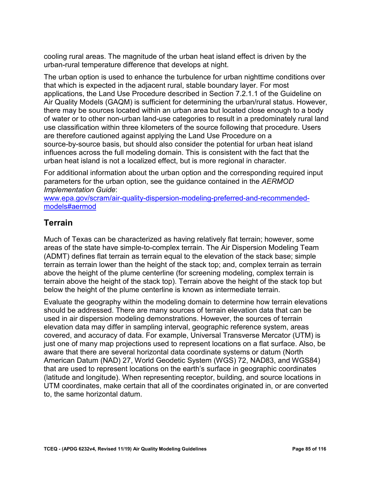cooling rural areas. The magnitude of the urban heat island effect is driven by the urban-rural temperature difference that develops at night.

 The urban option is used to enhance the turbulence for urban nighttime conditions over source-by-source basis, but should also consider the potential for urban heat island that which is expected in the adjacent rural, stable boundary layer. For most applications, the Land Use Procedure described in Section 7.2.1.1 of the Guideline on Air Quality Models (GAQM) is sufficient for determining the urban/rural status. However, there may be sources located within an urban area but located close enough to a body of water or to other non-urban land-use categories to result in a predominately rural land use classification within three kilometers of the source following that procedure. Users are therefore cautioned against applying the Land Use Procedure on a influences across the full modeling domain. This is consistent with the fact that the urban heat island is not a localized effect, but is more regional in character.

Implementation Guide: For additional information about the urban option and the corresponding required input parameters for the urban option, see the guidance contained in the *AERMOD* 

*Implementation Guide*[: www.epa.gov/scram/air-quality-dispersion-modeling-preferred-and-recommended](http://www.epa.gov/scram/air-quality-dispersion-modeling-preferred-and-recommended-models#aermod)[models#aermod](http://www.epa.gov/scram/air-quality-dispersion-modeling-preferred-and-recommended-models#aermod) 

## **Terrain**

Much of Texas can be characterized as having relatively flat terrain; however, some areas of the state have simple-to-complex terrain. The Air Dispersion Modeling Team (ADMT) defines flat terrain as terrain equal to the elevation of the stack base; simple terrain as terrain lower than the height of the stack top; and, complex terrain as terrain above the height of the plume centerline (for screening modeling, complex terrain is terrain above the height of the stack top). Terrain above the height of the stack top but below the height of the plume centerline is known as intermediate terrain.

 just one of many map projections used to represent locations on a flat surface. Also, be American Datum (NAD) 27, World Geodetic System (WGS) 72, NAD83, and WGS84) (latitude and longitude). When representing receptor, building, and source locations in Evaluate the geography within the modeling domain to determine how terrain elevations should be addressed. There are many sources of terrain elevation data that can be used in air dispersion modeling demonstrations. However, the sources of terrain elevation data may differ in sampling interval, geographic reference system, areas covered, and accuracy of data. For example, Universal Transverse Mercator (UTM) is aware that there are several horizontal data coordinate systems or datum (North that are used to represent locations on the earth's surface in geographic coordinates UTM coordinates, make certain that all of the coordinates originated in, or are converted to, the same horizontal datum.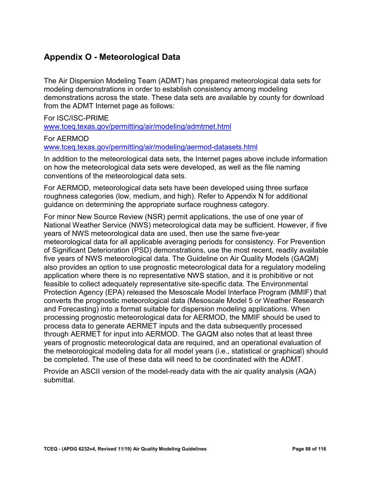# **Appendix O - Meteorological Data**

 The Air Dispersion Modeling Team (ADMT) has prepared meteorological data sets for demonstrations across the state. These data sets are available by county for download from the ADMT Internet page as follows: modeling demonstrations in order to establish consistency among modeling

For ISC/ISC-PRIME [www.tceq.texas.gov/permitting/air/modeling/admtmet.html](http://www.tceq.texas.gov/permitting/air/modeling/admtmet.html) 

For AERMOD [www.tceq.texas.gov/permitting/air/modeling/aermod-datasets.html](https://www.tceq.texas.gov/permitting/air/modeling/aermod-datasets.html) 

In addition to the meteorological data sets, the Internet pages above include information on how the meteorological data sets were developed, as well as the file naming conventions of the meteorological data sets.

For AERMOD, meteorological data sets have been developed using three surface roughness categories (low, medium, and high). Refer to Appendix N for additional guidance on determining the appropriate surface roughness category.

 meteorological data for all applicable averaging periods for consistency. For Prevention years of prognostic meteorological data are required, and an operational evaluation of For minor New Source Review (NSR) permit applications, the use of one year of National Weather Service (NWS) meteorological data may be sufficient. However, if five years of NWS meteorological data are used, then use the same five-year of Significant Deterioration (PSD) demonstrations, use the most recent, readily available five years of NWS meteorological data. The Guideline on Air Quality Models (GAQM) also provides an option to use prognostic meteorological data for a regulatory modeling application where there is no representative NWS station, and it is prohibitive or not feasible to collect adequately representative site-specific data. The Environmental Protection Agency (EPA) released the Mesoscale Model Interface Program (MMIF) that converts the prognostic meteorological data (Mesoscale Model 5 or Weather Research and Forecasting) into a format suitable for dispersion modeling applications. When processing prognostic meteorological data for AERMOD, the MMIF should be used to process data to generate AERMET inputs and the data subsequently processed through AERMET for input into AERMOD. The GAQM also notes that at least three the meteorological modeling data for all model years (i.e., statistical or graphical) should be completed. The use of these data will need to be coordinated with the ADMT.

Provide an ASCII version of the model-ready data with the air quality analysis (AQA) submittal.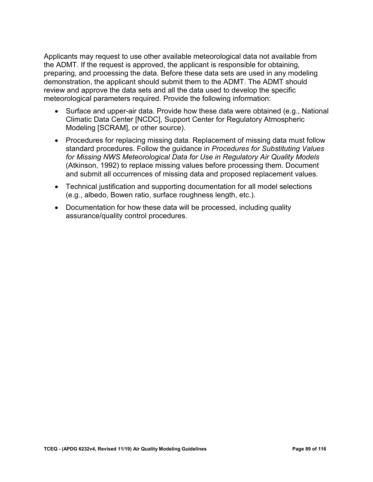cooling rural areas. The magnitude of the urban heat island effect is driven by the urban-rural temperature difference that develops at night.

The urban option is used to enhance the turbulence for urban nighttime conditions over that which is expected in the adjacent rural, stable boundary layer. For most applications, the Land Use Procedure described in Section 7.2.1.1 of the Guideline on Air Quality Models (GAQM) is sufficient for determining the urban/rural status. However, there may be sources located within an urban area but located close enough to a body of water or to other non-urban land-use categories to result in a predominately rural land use classification within three kilometers of the source following that procedure. Users are therefore cautioned against applying the Land Use Procedure on a source-by-source basis, but should also consider the potential for urban heat island influences across the full modeling domain. This is consistent with the fact that the urban heat island is not a localized effect, but is more regional in character.

For additional information about the urban option and the corresponding required input parameters for the urban option, see the quidance contained in the AERMOD Implementation Guide:

www.epa.gov/scram/air-quality-dispersion-modeling-preferred-and-recommendedmodels#aermod

## **Terrain**

Much of Texas can be characterized as having relatively flat terrain; however, some areas of the state have simple-to-complex terrain. The Air Dispersion Modeling Team (ADMT) defines flat terrain as terrain equal to the elevation of the stack base; simple terrain as terrain lower than the height of the stack top; and, complex terrain as terrain above the height of the plume centerline (for screening modeling, complex terrain is terrain above the height of the stack top). Terrain above the height of the stack top but below the height of the plume centerline is known as intermediate terrain.

Evaluate the geography within the modeling domain to determine how terrain elevations should be addressed. There are many sources of terrain elevation data that can be used in air dispersion modeling demonstrations. However, the sources of terrain elevation data may differ in sampling interval, geographic reference system, areas covered, and accuracy of data. For example, Universal Transverse Mercator (UTM) is just one of many map projections used to represent locations on a flat surface. Also, be aware that there are several horizontal data coordinate systems or datum (North American Datum (NAD) 27, World Geodetic System (WGS) 72, NAD83, and WGS84) that are used to represent locations on the earth's surface in geographic coordinates (latitude and longitude). When representing receptor, building, and source locations in UTM coordinates, make certain that all of the coordinates originated in, or are converted to, the same horizontal datum.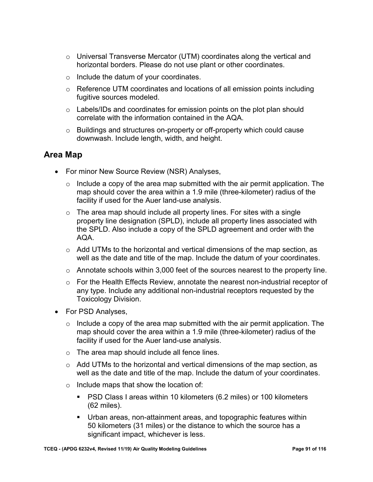- horizontal borders. Please do not use plant or other coordinates. o Universal Transverse Mercator (UTM) coordinates along the vertical and
- o Include the datum of your coordinates.
- $\circ$  Reference UTM coordinates and locations of all emission points including fugitive sources modeled.
- $\circ$  Labels/IDs and coordinates for emission points on the plot plan should correlate with the information contained in the AQA.
- o Buildings and structures on-property or off-property which could cause downwash. Include length, width, and height.

#### **Area Map**

- For minor New Source Review (NSR) Analyses,
	- $\circ$  Include a copy of the area map submitted with the air permit application. The map should cover the area within a 1.9 mile (three-kilometer) radius of the facility if used for the Auer land-use analysis.
	- $\circ$  The area map should include all property lines. For sites with a single property line designation (SPLD), include all property lines associated with the SPLD. Also include a copy of the SPLD agreement and order with the AQA.
	- $\circ$  Add UTMs to the horizontal and vertical dimensions of the map section, as well as the date and title of the map. Include the datum of your coordinates.
	- $\circ$  Annotate schools within 3,000 feet of the sources nearest to the property line.
	- $\circ$  For the Health Effects Review, annotate the nearest non-industrial receptor of any type. Include any additional non-industrial receptors requested by the Toxicology Division.
- For PSD Analyses,
	- $\circ$  Include a copy of the area map submitted with the air permit application. The map should cover the area within a 1.9 mile (three-kilometer) radius of the facility if used for the Auer land-use analysis.
	- o The area map should include all fence lines.
	- $\circ$  Add UTMs to the horizontal and vertical dimensions of the map section, as well as the date and title of the map. Include the datum of your coordinates.
	- $\circ$  Include maps that show the location of:
		- (62 miles). **PSD Class I areas within 10 kilometers (6.2 miles) or 100 kilometers**
		- Urban areas, non-attainment areas, and topographic features within 50 kilometers (31 miles) or the distance to which the source has a significant impact, whichever is less.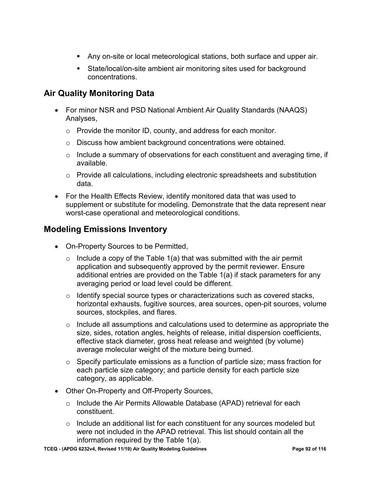- Any on-site or local meteorological stations, both surface and upper air.
- State/local/on-site ambient air monitoring sites used for background concentrations.

# **Air Quality Monitoring Data**

- For minor NSR and PSD National Ambient Air Quality Standards (NAAQS) Analyses,
	- o Provide the monitor ID, county, and address for each monitor.
	- o Discuss how ambient background concentrations were obtained.
	- $\circ$  Include a summary of observations for each constituent and averaging time, if available.
	- $\circ$  Provide all calculations, including electronic spreadsheets and substitution data.
- For the Health Effects Review, identify monitored data that was used to supplement or substitute for modeling. Demonstrate that the data represent near worst-case operational and meteorological conditions.

## **Modeling Emissions Inventory**

- On-Property Sources to be Permitted,
	- $\circ$  Include a copy of the Table 1(a) that was submitted with the air permit application and subsequently approved by the permit reviewer. Ensure additional entries are provided on the Table 1(a) if stack parameters for any averaging period or load level could be different.
	- $\circ$  Identify special source types or characterizations such as covered stacks, horizontal exhausts, fugitive sources, area sources, open-pit sources, volume sources, stockpiles, and flares.
	- $\circ$  Include all assumptions and calculations used to determine as appropriate the size, sides, rotation angles, heights of release, initial dispersion coefficients, effective stack diameter, gross heat release and weighted (by volume) average molecular weight of the mixture being burned.
	- $\circ$  Specify particulate emissions as a function of particle size; mass fraction for each particle size category; and particle density for each particle size category, as applicable.
- Other On-Property and Off-Property Sources,
	- o Include the Air Permits Allowable Database (APAD) retrieval for each constituent.
	- $\circ$  Include an additional list for each constituent for any sources modeled but were not included in the APAD retrieval. This list should contain all the information required by the Table 1(a).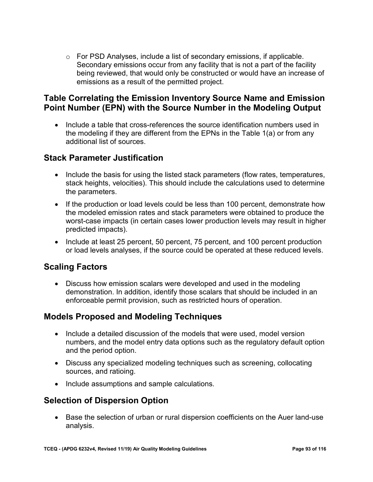$\circ$  For PSD Analyses, include a list of secondary emissions, if applicable. Secondary emissions occur from any facility that is not a part of the facility emissions as a result of the permitted project. being reviewed, that would only be constructed or would have an increase of

## **Point Number (EPN) with the Source Number in the Modeling Output Table Correlating the Emission Inventory Source Name and Emission**

 the modeling if they are different from the EPNs in the Table 1(a) or from any • Include a table that cross-references the source identification numbers used in additional list of sources.

#### **Stack Parameter Justification**

- • Include the basis for using the listed stack parameters (flow rates, temperatures, stack heights, velocities). This should include the calculations used to determine the parameters.
- If the production or load levels could be less than 100 percent, demonstrate how the modeled emission rates and stack parameters were obtained to produce the worst-case impacts (in certain cases lower production levels may result in higher predicted impacts).
- • Include at least 25 percent, 50 percent, 75 percent, and 100 percent production or load levels analyses, if the source could be operated at these reduced levels.

## **Scaling Factors**

• Discuss how emission scalars were developed and used in the modeling demonstration. In addition, identify those scalars that should be included in an enforceable permit provision, such as restricted hours of operation.

## **Models Proposed and Modeling Techniques**

- • Include a detailed discussion of the models that were used, model version numbers, and the model entry data options such as the regulatory default option and the period option.
- Discuss any specialized modeling techniques such as screening, collocating sources, and ratioing.
- Include assumptions and sample calculations.

## **Selection of Dispersion Option**

• Base the selection of urban or rural dispersion coefficients on the Auer land-use analysis.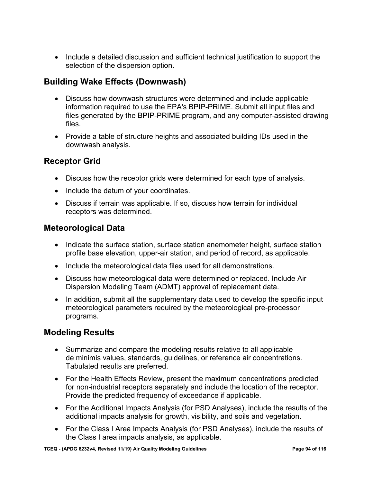• Include a detailed discussion and sufficient technical justification to support the selection of the dispersion option.

## **Building Wake Effects (Downwash)**

- Discuss how downwash structures were determined and include applicable information required to use the EPA's BPIP-PRIME. Submit all input files and files generated by the BPIP-PRIME program, and any computer-assisted drawing files.
- • Provide a table of structure heights and associated building IDs used in the downwash analysis.

## **Receptor Grid**

- Discuss how the receptor grids were determined for each type of analysis.
- Include the datum of your coordinates.
- Discuss if terrain was applicable. If so, discuss how terrain for individual receptors was determined.

#### **Meteorological Data**

- Indicate the surface station, surface station anemometer height, surface station profile base elevation, upper-air station, and period of record, as applicable.
- Include the meteorological data files used for all demonstrations.
- Discuss how meteorological data were determined or replaced. Include Air Dispersion Modeling Team (ADMT) approval of replacement data.
- In addition, submit all the supplementary data used to develop the specific input meteorological parameters required by the meteorological pre-processor programs.

## **Modeling Results**

- Summarize and compare the modeling results relative to all applicable de minimis values, standards, guidelines, or reference air concentrations. Tabulated results are preferred.
- For the Health Effects Review, present the maximum concentrations predicted for non-industrial receptors separately and include the location of the receptor. Provide the predicted frequency of exceedance if applicable.
- • For the Additional Impacts Analysis (for PSD Analyses), include the results of the additional impacts analysis for growth, visibility, and soils and vegetation.
- For the Class I Area Impacts Analysis (for PSD Analyses), include the results of the Class I area impacts analysis, as applicable.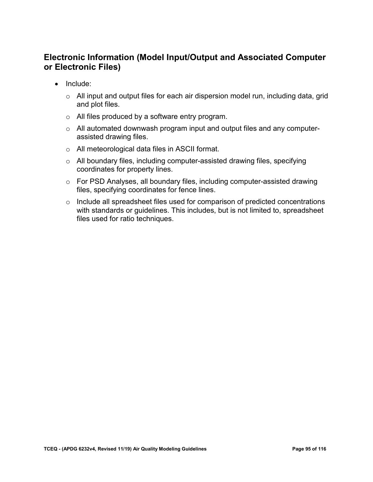### **Electronic Information (Model Input/Output and Associated Computer or Electronic Files)**

- • Include:
	- $\circ$   $\,$  All input and output files for each air dispersion model run, including data, grid and plot files.
	- o All files produced by a software entry program.
	- o All automated downwash program input and output files and any computerassisted drawing files.
	- o All meteorological data files in ASCII format.
	- o All boundary files, including computer-assisted drawing files, specifying coordinates for property lines.
	- $\circ$  For PSD Analyses, all boundary files, including computer-assisted drawing files, specifying coordinates for fence lines.
	- o Include all spreadsheet files used for comparison of predicted concentrations with standards or guidelines. This includes, but is not limited to, spreadsheet files used for ratio techniques.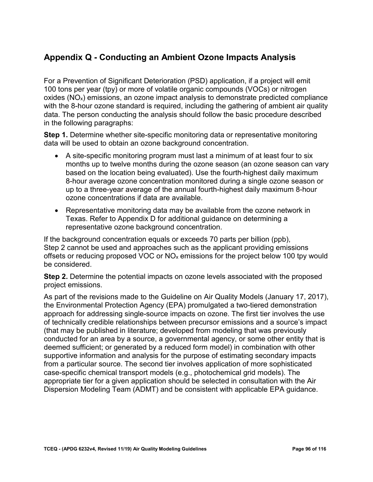# **Appendix Q - Conducting an Ambient Ozone Impacts Analysis**

For a Prevention of Significant Deterioration (PSD) application, if a project will emit 100 tons per year (tpy) or more of volatile organic compounds (VOCs) or nitrogen oxides  $(NO<sub>x</sub>)$  emissions, an ozone impact analysis to demonstrate predicted compliance with the 8-hour ozone standard is required, including the gathering of ambient air quality data. The person conducting the analysis should follow the basic procedure described in the following paragraphs:

**Step 1.** Determine whether site-specific monitoring data or representative monitoring data will be used to obtain an ozone background concentration.

- • A site-specific monitoring program must last a minimum of at least four to six months up to twelve months during the ozone season (an ozone season can vary based on the location being evaluated). Use the fourth-highest daily maximum 8-hour average ozone concentration monitored during a single ozone season or up to a three-year average of the annual fourth-highest daily maximum 8-hour ozone concentrations if data are available.
- • Representative monitoring data may be available from the ozone network in Texas. Refer to Appendix D for additional guidance on determining a representative ozone background concentration.

 If the background concentration equals or exceeds 70 parts per billion (ppb), Step 2 cannot be used and approaches such as the applicant providing emissions offsets or reducing proposed VOC or  $NO<sub>x</sub>$  emissions for the project below 100 tpy would be considered.

**Step 2.** Determine the potential impacts on ozone levels associated with the proposed project emissions.

 As part of the revisions made to the Guideline on Air Quality Models (January 17, 2017), approach for addressing single-source impacts on ozone. The first tier involves the use from a particular source. The second tier involves application of more sophisticated the Environmental Protection Agency (EPA) promulgated a two-tiered demonstration of technically credible relationships between precursor emissions and a source's impact (that may be published in literature; developed from modeling that was previously conducted for an area by a source, a governmental agency, or some other entity that is deemed sufficient; or generated by a reduced form model) in combination with other supportive information and analysis for the purpose of estimating secondary impacts case-specific chemical transport models (e.g., photochemical grid models). The appropriate tier for a given application should be selected in consultation with the Air Dispersion Modeling Team (ADMT) and be consistent with applicable EPA guidance.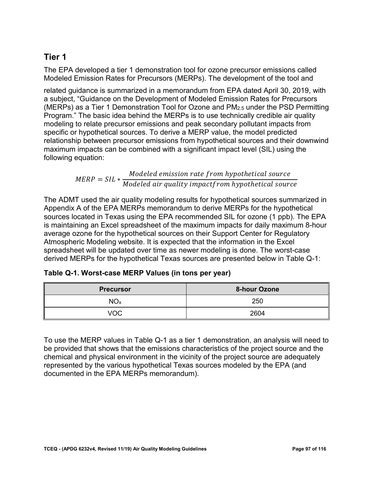## **Tier 1**

The EPA developed a tier 1 demonstration tool for ozone precursor emissions called Modeled Emission Rates for Precursors (MERPs). The development of the tool and

 related guidance is summarized in a memorandum from EPA dated April 30, 2019, with (MERPs) as a Tier 1 Demonstration Tool for Ozone and PM2.5 under the PSD Permitting modeling to relate precursor emissions and peak secondary pollutant impacts from a subject, "Guidance on the Development of Modeled Emission Rates for Precursors Program." The basic idea behind the MERPs is to use technically credible air quality specific or hypothetical sources. To derive a MERP value, the model predicted relationship between precursor emissions from hypothetical sources and their downwind maximum impacts can be combined with a significant impact level (SIL) using the following equation:

$$
MERP = SIL * \frac{Modeled emission rate from hypothetical source}{Model air quality impact from hypothetical source}
$$

The ADMT used the air quality modeling results for hypothetical sources summarized in Appendix A of the EPA MERPs memorandum to derive MERPs for the hypothetical sources located in Texas using the EPA recommended SIL for ozone (1 ppb). The EPA is maintaining an Excel spreadsheet of the maximum impacts for daily maximum 8-hour average ozone for the hypothetical sources on their Support Center for Regulatory Atmospheric Modeling website. It is expected that the information in the Excel spreadsheet will be updated over time as newer modeling is done. The worst-case derived MERPs for the hypothetical Texas sources are presented below in Table Q-1:

| Table Q-1. Worst-case MERP Values (in tons per year) |  |  |
|------------------------------------------------------|--|--|
|------------------------------------------------------|--|--|

| <b>Precursor</b> | 8-hour Ozone |  |
|------------------|--------------|--|
| NO <sub>x</sub>  | 250          |  |
| VOC              | 2604         |  |

To use the MERP values in Table Q-1 as a tier 1 demonstration, an analysis will need to be provided that shows that the emissions characteristics of the project source and the chemical and physical environment in the vicinity of the project source are adequately represented by the various hypothetical Texas sources modeled by the EPA (and documented in the EPA MERPs memorandum).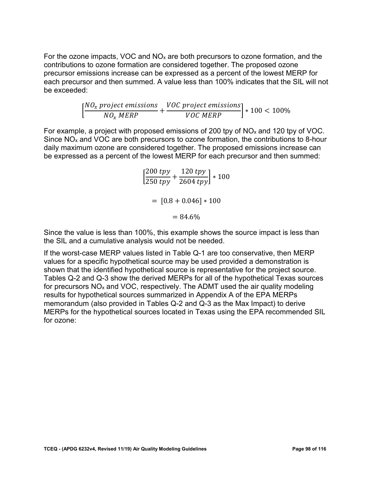For the ozone impacts, VOC and  $NO<sub>x</sub>$  are both precursors to ozone formation, and the contributions to ozone formation are considered together. The proposed ozone precursor emissions increase can be expressed as a percent of the lowest MERP for each precursor and then summed. A value less than 100% indicates that the SIL will not be exceeded:

$$
\left[\frac{NO_x \text{ project emissions}}{NO_x \text{ MERP}} + \frac{VOC \text{ project emissions}}{VOC \text{ MERP}}\right] * 100 < 100\%
$$

 be expressed as a percent of the lowest MERP for each precursor and then summed: For example, a project with proposed emissions of 200 tpy of  $NO<sub>x</sub>$  and 120 tpy of VOC. Since NOx and VOC are both precursors to ozone formation, the contributions to 8-hour daily maximum ozone are considered together. The proposed emissions increase can

$$
\left[\frac{200 \text{ typ}}{250 \text{ typ}} + \frac{120 \text{ typ}}{2604 \text{ typ}}\right] * 100
$$

$$
= [0.8 + 0.046] * 100
$$

$$
= 84.6\%
$$

 the SIL and a cumulative analysis would not be needed. Since the value is less than 100%, this example shows the source impact is less than

If the worst-case MERP values listed in Table Q-1 are too conservative, then MERP values for a specific hypothetical source may be used provided a demonstration is shown that the identified hypothetical source is representative for the project source. Tables Q-2 and Q-3 show the derived MERPs for all of the hypothetical Texas sources for precursors  $NO<sub>x</sub>$  and  $VOC$ , respectively. The ADMT used the air quality modeling results for hypothetical sources summarized in Appendix A of the EPA MERPs memorandum (also provided in Tables Q-2 and Q-3 as the Max Impact) to derive MERPs for the hypothetical sources located in Texas using the EPA recommended SIL for ozone: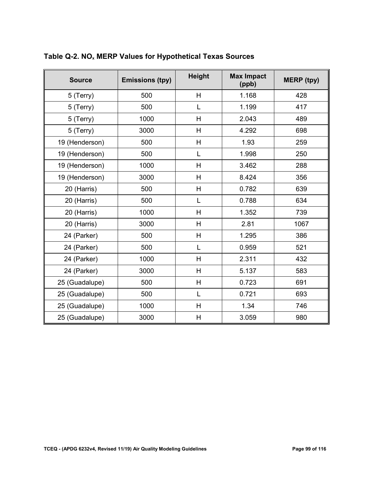| <b>Source</b>  | <b>Emissions (tpy)</b> | <b>Height</b>  | <b>Max Impact</b><br>(ppb) | <b>MERP</b> (tpy) |
|----------------|------------------------|----------------|----------------------------|-------------------|
| 5 (Terry)      | 500                    | $\overline{H}$ | 1.168                      | 428               |
| 5 (Terry)      | 500                    | L              | 1.199                      | 417               |
| 5 (Terry)      | 1000                   | H              | 2.043                      | 489               |
| 5 (Terry)      | 3000                   | H              | 4.292                      | 698               |
| 19 (Henderson) | 500                    | Н              | 1.93                       | 259               |
| 19 (Henderson) | 500                    | L              | 1.998                      | 250               |
| 19 (Henderson) | 1000                   | H              | 3.462                      | 288               |
| 19 (Henderson) | 3000                   | H              | 8.424                      | 356               |
| 20 (Harris)    | 500                    | H              | 0.782                      | 639               |
| 20 (Harris)    | 500                    | L              | 0.788                      | 634               |
| 20 (Harris)    | 1000                   | H              | 1.352                      | 739               |
| 20 (Harris)    | 3000                   | H              | 2.81                       | 1067              |
| 24 (Parker)    | 500                    | H              | 1.295                      | 386               |
| 24 (Parker)    | 500                    | L              | 0.959                      | 521               |
| 24 (Parker)    | 1000                   | H              | 2.311                      | 432               |
| 24 (Parker)    | 3000                   | H              | 5.137                      | 583               |
| 25 (Guadalupe) | 500                    | H              | 0.723                      | 691               |
| 25 (Guadalupe) | 500                    | L              | 0.721                      | 693               |
| 25 (Guadalupe) | 1000                   | H              | 1.34                       | 746               |
| 25 (Guadalupe) | 3000                   | Н              | 3.059                      | 980               |

## **Table Q-2. NOx MERP Values for Hypothetical Texas Sources**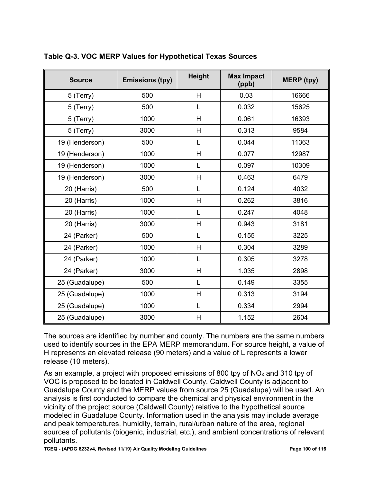| <b>Source</b>  | <b>Emissions (tpy)</b> | <b>Height</b>  | <b>Max Impact</b><br>(ppb) | <b>MERP</b> (tpy) |
|----------------|------------------------|----------------|----------------------------|-------------------|
| 5 (Terry)      | 500                    | H              | 0.03                       | 16666             |
| 5 (Terry)      | 500                    | L              | 0.032                      | 15625             |
| 5 (Terry)      | 1000                   | H              | 0.061                      | 16393             |
| 5 (Terry)      | 3000                   | H              | 0.313                      | 9584              |
| 19 (Henderson) | 500                    | L              | 0.044                      | 11363             |
| 19 (Henderson) | 1000                   | H              | 0.077                      | 12987             |
| 19 (Henderson) | 1000                   | L              | 0.097                      | 10309             |
| 19 (Henderson) | 3000                   | H              | 0.463                      | 6479              |
| 20 (Harris)    | 500                    | L              | 0.124                      | 4032              |
| 20 (Harris)    | 1000                   | Н              | 0.262                      | 3816              |
| 20 (Harris)    | 1000                   | L              | 0.247                      | 4048              |
| 20 (Harris)    | 3000                   | H              | 0.943                      | 3181              |
| 24 (Parker)    | 500                    | L              | 0.155                      | 3225              |
| 24 (Parker)    | 1000                   | H              | 0.304                      | 3289              |
| 24 (Parker)    | 1000                   | L              | 0.305                      | 3278              |
| 24 (Parker)    | 3000                   | H              | 1.035                      | 2898              |
| 25 (Guadalupe) | 500                    | L              | 0.149                      | 3355              |
| 25 (Guadalupe) | 1000                   | Н              | 0.313                      | 3194              |
| 25 (Guadalupe) | 1000                   | L              | 0.334                      | 2994              |
| 25 (Guadalupe) | 3000                   | $\overline{H}$ | 1.152                      | 2604              |

**Table Q-3. VOC MERP Values for Hypothetical Texas Sources** 

 release (10 meters). The sources are identified by number and county. The numbers are the same numbers used to identify sources in the EPA MERP memorandum. For source height, a value of H represents an elevated release (90 meters) and a value of L represents a lower

 sources of pollutants (biogenic, industrial, etc.), and ambient concentrations of relevant As an example, a project with proposed emissions of 800 tpy of  $NO<sub>x</sub>$  and 310 tpy of VOC is proposed to be located in Caldwell County. Caldwell County is adjacent to Guadalupe County and the MERP values from source 25 (Guadalupe) will be used. An analysis is first conducted to compare the chemical and physical environment in the vicinity of the project source (Caldwell County) relative to the hypothetical source modeled in Guadalupe County. Information used in the analysis may include average and peak temperatures, humidity, terrain, rural/urban nature of the area, regional pollutants.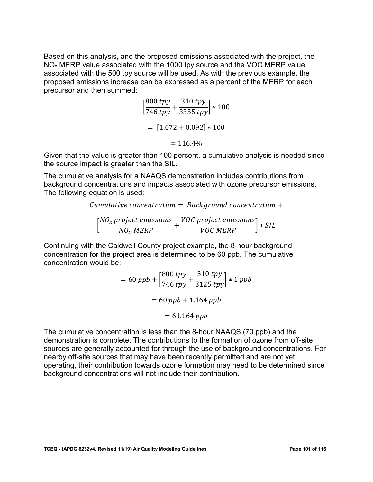Based on this analysis, and the proposed emissions associated with the project, the NOx MERP value associated with the 1000 tpy source and the VOC MERP value associated with the 500 tpy source will be used. As with the previous example, the proposed emissions increase can be expressed as a percent of the MERP for each precursor and then summed:

$$
\left[\frac{800 \text{ typ}}{746 \text{ typ}} + \frac{310 \text{ typ}}{3355 \text{ typ}}\right] * 100
$$

$$
= [1.072 + 0.092] * 100
$$

$$
= 116.4\%
$$

Given that the value is greater than 100 percent, a cumulative analysis is needed since the source impact is greater than the SIL.

 The cumulative analysis for a NAAQS demonstration includes contributions from background concentrations and impacts associated with ozone precursor emissions. The following equation is used:

Cumulative concentration  $=$  Background concentration  $+$ 

$$
\left[\frac{NO_x \, project \, emissions}{NO_x \, MERP} + \frac{VOC \, project \, emissions}{VOC \, MERP}\right] * SIL
$$

Continuing with the Caldwell County project example, the 8-hour background concentration for the project area is determined to be 60 ppb. The cumulative concentration would be:

$$
= 60 ppb + \left[\frac{800 \, typ}{746 \, typ} + \frac{310 \, typ}{3125 \, typ}\right] * 1 \, ppb
$$

$$
= 60 ppb + 1.164 \, ppb
$$

$$
= 61.164 \, ppb
$$

 sources are generally accounted for through the use of background concentrations. For The cumulative concentration is less than the 8-hour NAAQS (70 ppb) and the demonstration is complete. The contributions to the formation of ozone from off-site nearby off-site sources that may have been recently permitted and are not yet operating, their contribution towards ozone formation may need to be determined since background concentrations will not include their contribution.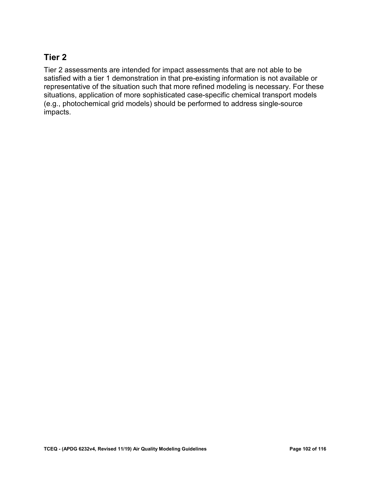#### **Tier 2**

 representative of the situation such that more refined modeling is necessary. For these Tier 2 assessments are intended for impact assessments that are not able to be satisfied with a tier 1 demonstration in that pre-existing information is not available or situations, application of more sophisticated case-specific chemical transport models (e.g., photochemical grid models) should be performed to address single-source impacts.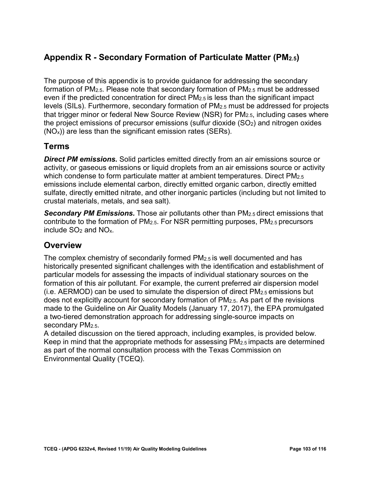# **Appendix R - Secondary Formation of Particulate Matter (PM2.5)**

 The purpose of this appendix is to provide guidance for addressing the secondary even if the predicted concentration for direct PM2.5 is less than the significant impact formation of  $PM_{2.5}$ . Please note that secondary formation of  $PM_{2.5}$  must be addressed levels (SILs). Furthermore, secondary formation of PM2.5 must be addressed for projects that trigger minor or federal New Source Review (NSR) for PM2.5, including cases where the project emissions of precursor emissions (sulfur dioxide  $(SO<sub>2</sub>)$  and nitrogen oxides  $(NO<sub>x</sub>)$ ) are less than the significant emission rates (SERs).

## **Terms**

which condense to form particulate matter at ambient temperatures. Direct PM $_{\rm 2.5}$ *Direct PM emissions.* Solid particles emitted directly from an air emissions source or activity, or gaseous emissions or liquid droplets from an air emissions source or activity emissions include elemental carbon, directly emitted organic carbon, directly emitted sulfate, directly emitted nitrate, and other inorganic particles (including but not limited to crustal materials, metals, and sea salt).

include  $SO_2$  and  $NO_x$ . *Secondary PM Emissions.* Those air pollutants other than PM2.5 direct emissions that contribute to the formation of PM2.5. For NSR permitting purposes, PM2.5 precursors

## **Overview**

 particular models for assessing the impacts of individual stationary sources on the The complex chemistry of secondarily formed PM2.5 is well documented and has historically presented significant challenges with the identification and establishment of formation of this air pollutant. For example, the current preferred air dispersion model (i.e. AERMOD) can be used to simulate the dispersion of direct  $PM<sub>2.5</sub>$  emissions but does not explicitly account for secondary formation of PM2.5. As part of the revisions made to the Guideline on Air Quality Models (January 17, 2017), the EPA promulgated a two-tiered demonstration approach for addressing single-source impacts on secondary PM<sub>2.5</sub>.

 Keep in mind that the appropriate methods for assessing PM2.5 impacts are determined as part of the normal consultation process with the Texas Commission on A detailed discussion on the tiered approach, including examples, is provided below. Environmental Quality (TCEQ).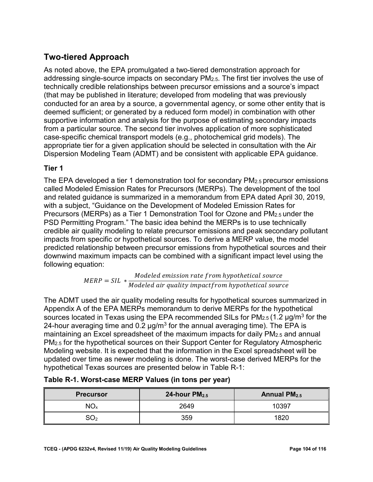# **Two-tiered Approach**

 conducted for an area by a source, a governmental agency, or some other entity that is As noted above, the EPA promulgated a two-tiered demonstration approach for addressing single-source impacts on secondary PM2.5. The first tier involves the use of technically credible relationships between precursor emissions and a source's impact (that may be published in literature; developed from modeling that was previously deemed sufficient; or generated by a reduced form model) in combination with other supportive information and analysis for the purpose of estimating secondary impacts from a particular source. The second tier involves application of more sophisticated case-specific chemical transport models (e.g., photochemical grid models). The appropriate tier for a given application should be selected in consultation with the Air Dispersion Modeling Team (ADMT) and be consistent with applicable EPA guidance.

#### **Tier 1**

 called Modeled Emission Rates for Precursors (MERPs). The development of the tool and related guidance is summarized in a memorandum from EPA dated April 30, 2019, with a subject, "Guidance on the Development of Modeled Emission Rates for predicted relationship between precursor emissions from hypothetical sources and their The EPA developed a tier 1 demonstration tool for secondary PM2.5 precursor emissions Precursors (MERPs) as a Tier 1 Demonstration Tool for Ozone and PM2.5 under the PSD Permitting Program." The basic idea behind the MERPs is to use technically credible air quality modeling to relate precursor emissions and peak secondary pollutant impacts from specific or hypothetical sources. To derive a MERP value, the model downwind maximum impacts can be combined with a significant impact level using the following equation:

$$
MERP = SIL * Modeled emission rate from hypothetical source
$$
  

$$
Modeled air quality impact from hypothetical source
$$

 maintaining an Excel spreadsheet of the maximum impacts for daily PM2.5 and annual The ADMT used the air quality modeling results for hypothetical sources summarized in Appendix A of the EPA MERPs memorandum to derive MERPs for the hypothetical sources located in Texas using the EPA recommended SILs for  $PM_{2.5}$  (1.2  $\mu$ g/m<sup>3</sup> for the 24-hour averaging time and 0.2  $\mu$ g/m<sup>3</sup> for the annual averaging time). The EPA is PM2.5 for the hypothetical sources on their Support Center for Regulatory Atmospheric Modeling website. It is expected that the information in the Excel spreadsheet will be updated over time as newer modeling is done. The worst-case derived MERPs for the hypothetical Texas sources are presented below in Table R-1:

| <b>Precursor</b> | 24-hour $PM2.5$ | Annual $PM2.5$ |
|------------------|-----------------|----------------|
| NO <sub>x</sub>  | 2649            | 10397          |
| $\mathrm{SO}_2$  | 359             | 1820           |

| Table R-1. Worst-case MERP Values (in tons per year) |  |  |  |
|------------------------------------------------------|--|--|--|
|                                                      |  |  |  |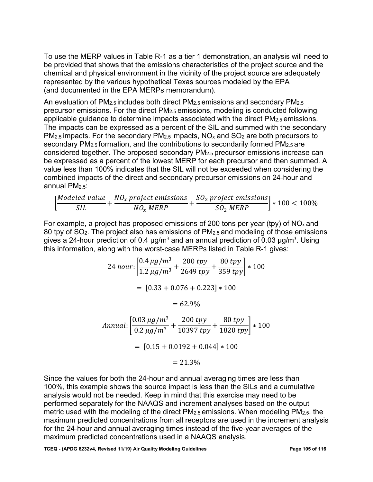represented by the various hypothetical Texas sources modeled by the EPA To use the MERP values in Table R-1 as a tier 1 demonstration, an analysis will need to be provided that shows that the emissions characteristics of the project source and the chemical and physical environment in the vicinity of the project source are adequately (and documented in the EPA MERPs memorandum).

precursor emissions. For the direct PM $_{2.5}$ emissions, modeling is conducted following The impacts can be expressed as a percent of the SIL and summed with the secondary PM $_{2.5}$  impacts. For the secondary PM $_{2.5}$  impacts, NO $_\mathrm{\mathsf{x}}$  and SO $_2$  are both precursors to be expressed as a percent of the lowest MERP for each precursor and then summed. A An evaluation of  $PM_{2.5}$  includes both direct  $PM_{2.5}$  emissions and secondary  $PM_{2.5}$ applicable guidance to determine impacts associated with the direct PM2.5 emissions. secondary PM<sub>2.5</sub> formation, and the contributions to secondarily formed PM<sub>2.5</sub> are considered together. The proposed secondary PM2.5 precursor emissions increase can value less than 100% indicates that the SIL will not be exceeded when considering the combined impacts of the direct and secondary precursor emissions on 24-hour and annual  $PM<sub>2.5</sub>$ :

$$
\left[\frac{Modeled\ value}{SIL} + \frac{NO_x\ project\ emissions}{NO_x\ MERP} + \frac{SO_2\ project\ emissions}{SO_2\ MERP}\right]*100 < 100\%
$$

 this information, along with the worst-case MERPs listed in Table R-1 gives: For example, a project has proposed emissions of 200 tons per year (tpy) of  $NO<sub>x</sub>$  and 80 tpy of SO2. The project also has emissions of PM2.5 and modeling of those emissions gives a 24-hour prediction of 0.4  $\mu$ g/m<sup>3</sup> and an annual prediction of 0.03  $\mu$ g/m<sup>3</sup>. Using

$$
24 \text{ hour:} \left[ \frac{0.4 \text{ }\mu\text{g/m}^3}{1.2 \text{ }\mu\text{g/m}^3} + \frac{200 \text{ try}}{2649 \text{ try}} + \frac{80 \text{ try}}{359 \text{ try}} \right] * 100
$$
\n
$$
= [0.33 + 0.076 + 0.223] * 100
$$
\n
$$
= 62.9\%
$$
\n
$$
Annual: \left[ \frac{0.03 \text{ }\mu\text{g/m}^3}{0.2 \text{ }\mu\text{g/m}^3} + \frac{200 \text{ try}}{10397 \text{ try}} + \frac{80 \text{ try}}{1820 \text{ try}} \right] * 100
$$
\n
$$
= [0.15 + 0.0192 + 0.044] * 100
$$
\n
$$
= 21.3\%
$$

 metric used with the modeling of the direct PM2.5 emissions. When modeling PM2.5, the maximum predicted concentrations from all receptors are used in the increment analysis for the 24-hour and annual averaging times instead of the five-year averages of the maximum predicted concentrations used in a NAAQS analysis. Since the values for both the 24-hour and annual averaging times are less than 100%, this example shows the source impact is less than the SILs and a cumulative analysis would not be needed. Keep in mind that this exercise may need to be performed separately for the NAAQS and increment analyses based on the output

 **TCEQ - (APDG 6232v4, Revised 11/19) Air Quality Modeling Guidelines Page 105 of 116**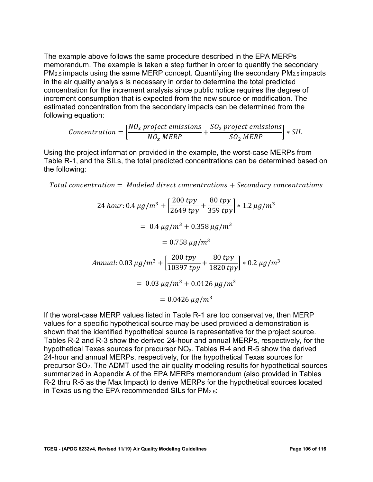increment consumption that is expected from the new source or modification. The The example above follows the same procedure described in the EPA MERPs memorandum. The example is taken a step further in order to quantify the secondary PM2.5 impacts using the same MERP concept. Quantifying the secondary PM2.5 impacts in the air quality analysis is necessary in order to determine the total predicted concentration for the increment analysis since public notice requires the degree of estimated concentration from the secondary impacts can be determined from the following equation:

$$
Concentration = \left[\frac{NO_x \text{ project emissions}}{NO_x \text{ MERP}} + \frac{SO_2 \text{ project emissions}}{SO_2 \text{ MERP}}\right] * SIL
$$

Using the project information provided in the example, the worst-case MERPs from Table R-1, and the SILs, the total predicted concentrations can be determined based on the following:

Total concentration  $=$  Modeled direct concentrations  $+$  Secondary concentrations

24 hour: 0.4 
$$
\mu g/m^3 + \left[\frac{200 \text{ typ}}{2649 \text{ typ}} + \frac{80 \text{ typ}}{359 \text{ typ}}\right] * 1.2 \mu g/m^3
$$
  
\n= 0.4  $\mu g/m^3 + 0.358 \mu g/m^3$   
\n= 0.758  $\mu g/m^3$   
\nAnnual: 0.03  $\mu g/m^3 + \left[\frac{200 \text{ typ}}{10397 \text{ typ}} + \frac{80 \text{ typ}}{1820 \text{ typ}}\right] * 0.2 \mu g/m^3$   
\n= 0.03  $\mu g/m^3 + 0.0126 \mu g/m^3$   
\n= 0.0426  $\mu g/m^3$ 

 24-hour and annual MERPs, respectively, for the hypothetical Texas sources for precursor SO2. The ADMT used the air quality modeling results for hypothetical sources If the worst-case MERP values listed in Table R-1 are too conservative, then MERP values for a specific hypothetical source may be used provided a demonstration is shown that the identified hypothetical source is representative for the project source. Tables R-2 and R-3 show the derived 24-hour and annual MERPs, respectively, for the hypothetical Texas sources for precursor NOx. Tables R-4 and R-5 show the derived summarized in Appendix A of the EPA MERPs memorandum (also provided in Tables R-2 thru R-5 as the Max Impact) to derive MERPs for the hypothetical sources located in Texas using the EPA recommended SILs for PM2.5: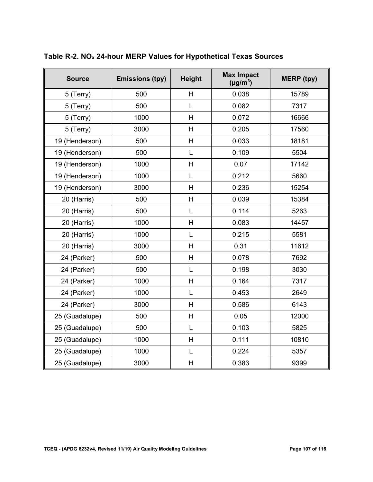| <b>Source</b>  | <b>Emissions (tpy)</b> | <b>Height</b> | <b>Max Impact</b><br>$(\mu g/m^3)$ | <b>MERP</b> (tpy) |
|----------------|------------------------|---------------|------------------------------------|-------------------|
| 5 (Terry)      | 500                    | H             | 0.038                              | 15789             |
| 5 (Terry)      | 500                    | L             | 0.082                              | 7317              |
| 5 (Terry)      | 1000                   | H             | 0.072                              | 16666             |
| 5 (Terry)      | 3000                   | H             | 0.205                              | 17560             |
| 19 (Henderson) | 500                    | H             | 0.033                              | 18181             |
| 19 (Henderson) | 500                    | L             | 0.109                              | 5504              |
| 19 (Henderson) | 1000                   | H             | 0.07                               | 17142             |
| 19 (Henderson) | 1000                   | L             | 0.212                              | 5660              |
| 19 (Henderson) | 3000                   | H             | 0.236                              | 15254             |
| 20 (Harris)    | 500                    | H             | 0.039                              | 15384             |
| 20 (Harris)    | 500                    | L             | 0.114                              | 5263              |
| 20 (Harris)    | 1000                   | H             | 0.083                              | 14457             |
| 20 (Harris)    | 1000                   | L             | 0.215                              | 5581              |
| 20 (Harris)    | 3000                   | H             | 0.31                               | 11612             |
| 24 (Parker)    | 500                    | H             | 0.078                              | 7692              |
| 24 (Parker)    | 500                    | L             | 0.198                              | 3030              |
| 24 (Parker)    | 1000                   | H             | 0.164                              | 7317              |
| 24 (Parker)    | 1000                   | L             | 0.453                              | 2649              |
| 24 (Parker)    | 3000                   | H             | 0.586                              | 6143              |
| 25 (Guadalupe) | 500                    | H             | 0.05                               | 12000             |
| 25 (Guadalupe) | 500                    | L             | 0.103                              | 5825              |
| 25 (Guadalupe) | 1000                   | H             | 0.111                              | 10810             |
| 25 (Guadalupe) | 1000                   | L             | 0.224                              | 5357              |
| 25 (Guadalupe) | 3000                   | H             | 0.383                              | 9399              |

**Table R-2. NOx 24-hour MERP Values for Hypothetical Texas Sources**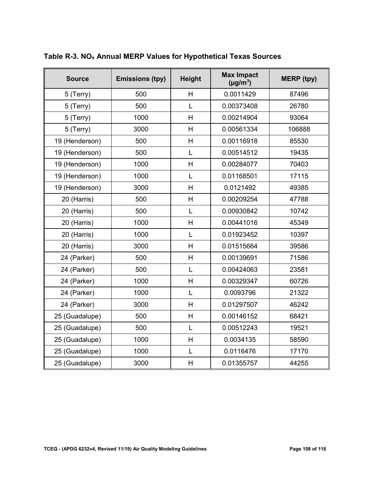| <b>Source</b>  | <b>Emissions (tpy)</b> | <b>Height</b> | <b>Max Impact</b><br>$(\mu g/m^3)$ | <b>MERP</b> (tpy) |
|----------------|------------------------|---------------|------------------------------------|-------------------|
| 5 (Terry)      | 500                    | H             | 0.0011429                          | 87496             |
| 5 (Terry)      | 500                    | L             | 0.00373408                         | 26780             |
| 5 (Terry)      | 1000                   | H             | 0.00214904                         | 93064             |
| 5 (Terry)      | 3000                   | H             | 0.00561334                         | 106888            |
| 19 (Henderson) | 500                    | H             | 0.00116918                         | 85530             |
| 19 (Henderson) | 500                    | L             | 0.00514512                         | 19435             |
| 19 (Henderson) | 1000                   | H             | 0.00284077                         | 70403             |
| 19 (Henderson) | 1000                   | L             | 0.01168501                         | 17115             |
| 19 (Henderson) | 3000                   | H             | 0.0121492                          | 49385             |
| 20 (Harris)    | 500                    | H             | 0.00209254                         | 47788             |
| 20 (Harris)    | 500                    | L             | 0.00930842                         | 10742             |
| 20 (Harris)    | 1000                   | H             | 0.00441016                         | 45349             |
| 20 (Harris)    | 1000                   | L             | 0.01923452                         | 10397             |
| 20 (Harris)    | 3000                   | H             | 0.01515664                         | 39586             |
| 24 (Parker)    | 500                    | H             | 0.00139691                         | 71586             |
| 24 (Parker)    | 500                    | L             | 0.00424063                         | 23581             |
| 24 (Parker)    | 1000                   | H             | 0.00329347                         | 60726             |
| 24 (Parker)    | 1000                   | L             | 0.0093796                          | 21322             |
| 24 (Parker)    | 3000                   | H             | 0.01297507                         | 46242             |
| 25 (Guadalupe) | 500                    | H             | 0.00146152                         | 68421             |
| 25 (Guadalupe) | 500                    | L             | 0.00512243                         | 19521             |
| 25 (Guadalupe) | 1000                   | H             | 0.0034135                          | 58590             |
| 25 (Guadalupe) | 1000                   | L             | 0.0116476                          | 17170             |
| 25 (Guadalupe) | 3000                   | H             | 0.01355757                         | 44255             |

**Table R-3. NOx Annual MERP Values for Hypothetical Texas Sources**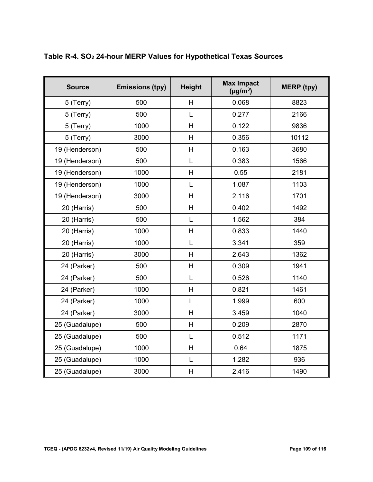| <b>Source</b>  | <b>Emissions (tpy)</b> | <b>Height</b>  | <b>Max Impact</b><br>$(\mu g/m^3)$ | <b>MERP</b> (tpy) |
|----------------|------------------------|----------------|------------------------------------|-------------------|
| 5 (Terry)      | 500                    | H              | 0.068                              | 8823              |
| 5 (Terry)      | 500                    | L              | 0.277                              | 2166              |
| 5 (Terry)      | 1000                   | H              | 0.122                              | 9836              |
| 5 (Terry)      | 3000                   | H              | 0.356                              | 10112             |
| 19 (Henderson) | 500                    | H              | 0.163                              | 3680              |
| 19 (Henderson) | 500                    | L              | 0.383                              | 1566              |
| 19 (Henderson) | 1000                   | H              | 0.55                               | 2181              |
| 19 (Henderson) | 1000                   | L              | 1.087                              | 1103              |
| 19 (Henderson) | 3000                   | H              | 2.116                              | 1701              |
| 20 (Harris)    | 500                    | $\overline{H}$ | 0.402                              | 1492              |
| 20 (Harris)    | 500                    | L              | 1.562                              | 384               |
| 20 (Harris)    | 1000                   | H              | 0.833                              | 1440              |
| 20 (Harris)    | 1000                   | L              | 3.341                              | 359               |
| 20 (Harris)    | 3000                   | H              | 2.643                              | 1362              |
| 24 (Parker)    | 500                    | H              | 0.309                              | 1941              |
| 24 (Parker)    | 500                    | L              | 0.526                              | 1140              |
| 24 (Parker)    | 1000                   | H              | 0.821                              | 1461              |
| 24 (Parker)    | 1000                   | L              | 1.999                              | 600               |
| 24 (Parker)    | 3000                   | H              | 3.459                              | 1040              |
| 25 (Guadalupe) | 500                    | H              | 0.209                              | 2870              |
| 25 (Guadalupe) | 500                    | L              | 0.512                              | 1171              |
| 25 (Guadalupe) | 1000                   | H              | 0.64                               | 1875              |
| 25 (Guadalupe) | 1000                   | L              | 1.282                              | 936               |
| 25 (Guadalupe) | 3000                   | H              | 2.416                              | 1490              |

### **Table R-4. SO2 24-hour MERP Values for Hypothetical Texas Sources**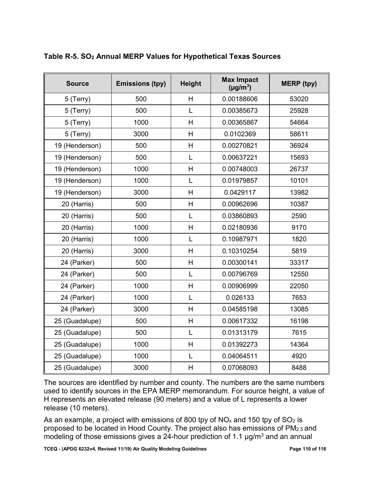| <b>Source</b>  | <b>Emissions (tpy)</b> | <b>Height</b> | <b>Max Impact</b><br>$(\mu g/m^3)$ | <b>MERP</b> (tpy) |
|----------------|------------------------|---------------|------------------------------------|-------------------|
| 5 (Terry)      | 500                    | H             | 0.00188606                         | 53020             |
| 5 (Terry)      | 500                    | L             | 0.00385673                         | 25928             |
| 5 (Terry)      | 1000                   | H             | 0.00365867                         | 54664             |
| 5 (Terry)      | 3000                   | H             | 0.0102369                          | 58611             |
| 19 (Henderson) | 500                    | H             | 0.00270821                         | 36924             |
| 19 (Henderson) | 500                    | L             | 0.00637221                         | 15693             |
| 19 (Henderson) | 1000                   | H             | 0.00748003                         | 26737             |
| 19 (Henderson) | 1000                   | L             | 0.01979857                         | 10101             |
| 19 (Henderson) | 3000                   | H             | 0.0429117                          | 13982             |
| 20 (Harris)    | 500                    | H             | 0.00962696                         | 10387             |
| 20 (Harris)    | 500                    | L             | 0.03860893                         | 2590              |
| 20 (Harris)    | 1000                   | H             | 0.02180936                         | 9170              |
| 20 (Harris)    | 1000                   | L             | 0.10987971                         | 1820              |
| 20 (Harris)    | 3000                   | H             | 0.10310254                         | 5819              |
| 24 (Parker)    | 500                    | H             | 0.00300141                         | 33317             |
| 24 (Parker)    | 500                    | L             | 0.00796769                         | 12550             |
| 24 (Parker)    | 1000                   | H             | 0.00906999                         | 22050             |
| 24 (Parker)    | 1000                   | L             | 0.026133                           | 7653              |
| 24 (Parker)    | 3000                   | H             | 0.04585198                         | 13085             |
| 25 (Guadalupe) | 500                    | H             | 0.00617332                         | 16198             |
| 25 (Guadalupe) | 500                    | L             | 0.01313179                         | 7615              |
| 25 (Guadalupe) | 1000                   | H             | 0.01392273                         | 14364             |
| 25 (Guadalupe) | 1000                   | L             | 0.04064511                         | 4920              |
| 25 (Guadalupe) | 3000                   | H             | 0.07068093                         | 8488              |

### **Table R-5. SO2 Annual MERP Values for Hypothetical Texas Sources**

 release (10 meters). The sources are identified by number and county. The numbers are the same numbers used to identify sources in the EPA MERP memorandum. For source height, a value of H represents an elevated release (90 meters) and a value of L represents a lower

As an example, a project with emissions of 800 tpy of NO $_\mathrm{\mathsf{x}}$  and 150 tpy of SO $_2$  is  $\,$ modeling of those emissions gives a 24-hour prediction of 1.1  $\mu$ g/m $^3$  and an annual proposed to be located in Hood County. The project also has emissions of PM2.5 and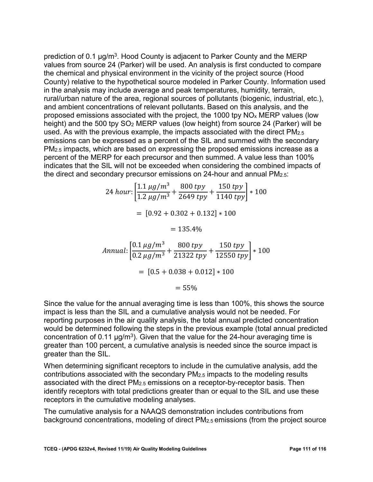and ambient concentrations of relevant pollutants. Based on this analysis, and the percent of the MERP for each precursor and then summed. A value less than 100% prediction of 0.1  $\mu$ g/m<sup>3</sup>. Hood County is adjacent to Parker County and the MERP values from source 24 (Parker) will be used. An analysis is first conducted to compare the chemical and physical environment in the vicinity of the project source (Hood County) relative to the hypothetical source modeled in Parker County. Information used in the analysis may include average and peak temperatures, humidity, terrain, rural/urban nature of the area, regional sources of pollutants (biogenic, industrial, etc.), proposed emissions associated with the project, the 1000 tpy NOx MERP values (low height) and the 500 tpy SO2 MERP values (low height) from source 24 (Parker) will be used. As with the previous example, the impacts associated with the direct PM2.5 emissions can be expressed as a percent of the SIL and summed with the secondary PM<sub>2.5</sub> impacts, which are based on expressing the proposed emissions increase as a indicates that the SIL will not be exceeded when considering the combined impacts of the direct and secondary precursor emissions on 24-hour and annual PM2.5:

$$
24 \text{ hour:} \left[ \frac{1.1 \mu g/m^3}{1.2 \mu g/m^3} + \frac{800 \text{ typ}}{2649 \text{ typ}} + \frac{150 \text{ typ}}{1140 \text{ typ}} \right] * 100
$$
  
=  $[0.92 + 0.302 + 0.132] * 100$   
=  $135.4\%$   
*Annual:*  $\left[ \frac{0.1 \mu g/m^3}{0.2 \mu g/m^3} + \frac{800 \text{ typ}}{21322 \text{ typ}} + \frac{150 \text{ typ}}{12550 \text{ typ}} \right] * 100$   
=  $[0.5 + 0.038 + 0.012] * 100$   
=  $55\%$ 

 reporting purposes in the air quality analysis, the total annual predicted concentration Since the value for the annual averaging time is less than 100%, this shows the source impact is less than the SIL and a cumulative analysis would not be needed. For would be determined following the steps in the previous example (total annual predicted concentration of 0.11  $\mu$ g/m<sup>3</sup>). Given that the value for the 24-hour averaging time is greater than 100 percent, a cumulative analysis is needed since the source impact is greater than the SIL.

When determining significant receptors to include in the cumulative analysis, add the contributions associated with the secondary PM2.5 impacts to the modeling results associated with the direct PM2.5 emissions on a receptor-by-receptor basis. Then identify receptors with total predictions greater than or equal to the SIL and use these receptors in the cumulative modeling analyses.

 The cumulative analysis for a NAAQS demonstration includes contributions from background concentrations, modeling of direct PM2.5 emissions (from the project source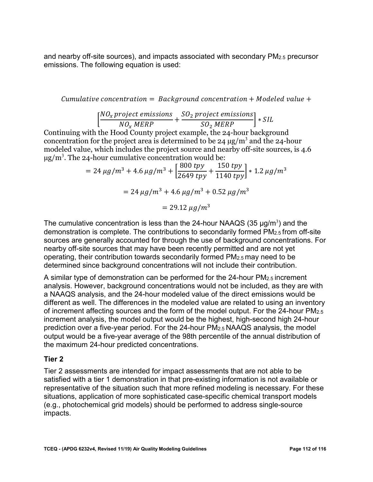and nearby off-site sources), and impacts associated with secondary PM2.5 precursor emissions. The following equation is used:

Cumulative concentration  $=$  Background concentration  $+$  Modeled value  $+$ 

$$
\left[\frac{NO_x \text{ project emissions}}{NO_x \text{ MERP}} + \frac{SO_2 \text{ project emissions}}{SO_2 \text{ MERP}}\right] * SIL
$$

 modeled value, which includes the project source and nearby off-site sources, is 4.6 Continuing with the Hood County project example, the 24-hour background concentration for the project area is determined to be 24  $\mu$ g/m<sup>3</sup> and the 24-hour  $\mu$ g/m<sup>3</sup>. The 24-hour cumulative concentration would be:

$$
= 24 \,\mu g/m^3 + 4.6 \,\mu g/m^3 + \left[\frac{800 \, typ}{2649 \, typ} + \frac{150 \, typ}{1140 \, typ}\right] * 1.2 \,\mu g/m^3
$$

$$
= 24 \,\mu g/m^3 + 4.6 \,\mu g/m^3 + 0.52 \,\mu g/m^3
$$

$$
= 29.12 \,\mu g/m^3
$$

The cumulative concentration is less than the 24-hour NAAQS (35  $\mu$ g/m<sup>3</sup>) and the demonstration is complete. The contributions to secondarily formed PM2.5 from off-site sources are generally accounted for through the use of background concentrations. For nearby off-site sources that may have been recently permitted and are not yet operating, their contribution towards secondarily formed PM2.5 may need to be determined since background concentrations will not include their contribution.

of increment affecting sources and the form of the model output. For the 24-hour PM $_{2.5}\,$ prediction over a five-year period. For the 24-hour PM<sub>2.5</sub> NAAQS analysis, the model output would be a five-year average of the 98th percentile of the annual distribution of A similar type of demonstration can be performed for the 24-hour PM2.5 increment analysis. However, background concentrations would not be included, as they are with a NAAQS analysis, and the 24-hour modeled value of the direct emissions would be different as well. The differences in the modeled value are related to using an inventory increment analysis, the model output would be the highest, high-second high 24-hour the maximum 24-hour predicted concentrations.

#### **Tier 2**

 representative of the situation such that more refined modeling is necessary. For these Tier 2 assessments are intended for impact assessments that are not able to be satisfied with a tier 1 demonstration in that pre-existing information is not available or situations, application of more sophisticated case-specific chemical transport models (e.g., photochemical grid models) should be performed to address single-source impacts.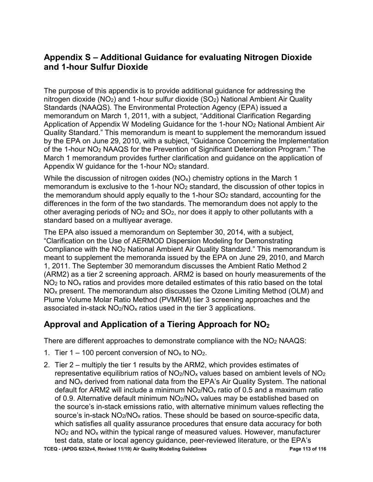### **Appendix S – Additional Guidance for evaluating Nitrogen Dioxide and 1-hour Sulfur Dioxide**

 memorandum on March 1, 2011, with a subject, "Additional Clarification Regarding by the EPA on June 29, 2010, with a subject, "Guidance Concerning the Implementation of the 1-hour NO2 NAAQS for the Prevention of Significant Deterioration Program." The Appendix W guidance for the 1-hour NO2 standard. The purpose of this appendix is to provide additional guidance for addressing the nitrogen dioxide (NO2) and 1-hour sulfur dioxide (SO2) National Ambient Air Quality Standards (NAAQS). The Environmental Protection Agency (EPA) issued a Application of Appendix W Modeling Guidance for the 1-hour NO2 National Ambient Air Quality Standard." This memorandum is meant to supplement the memorandum issued March 1 memorandum provides further clarification and guidance on the application of

other averaging periods of NO $_2$  and SO $_2$ , nor does it apply to other pollutants with a While the discussion of nitrogen oxides  $(NO<sub>x</sub>)$  chemistry options in the March 1 memorandum is exclusive to the 1-hour NO2 standard, the discussion of other topics in the memorandum should apply equally to the 1-hour  $SO<sub>2</sub>$  standard, accounting for the differences in the form of the two standards. The memorandum does not apply to the standard based on a multiyear average.

 The EPA also issued a memorandum on September 30, 2014, with a subject, "Clarification on the Use of AERMOD Dispersion Modeling for Demonstrating 1, 2011. The September 30 memorandum discusses the Ambient Ratio Method 2  $NO<sub>2</sub>$  to  $NO<sub>x</sub>$  ratios and provides more detailed estimates of this ratio based on the total Compliance with the NO2 National Ambient Air Quality Standard." This memorandum is meant to supplement the memoranda issued by the EPA on June 29, 2010, and March (ARM2) as a tier 2 screening approach. ARM2 is based on hourly measurements of the NOx present. The memorandum also discusses the Ozone Limiting Method (OLM) and Plume Volume Molar Ratio Method (PVMRM) tier 3 screening approaches and the associated in-stack  $NO<sub>2</sub>/NO<sub>x</sub>$  ratios used in the tier 3 applications.

## **Approval and Application of a Tiering Approach for NO2**

There are different approaches to demonstrate compliance with the  $NO<sub>2</sub>$  NAAQS:

- 1. Tier  $1 100$  percent conversion of NO<sub>x</sub> to NO<sub>2</sub>.
- 2. Tier 2 multiply the tier 1 results by the ARM2, which provides estimates of source's in-stack  $\mathsf{NO_2/NO_x}$  ratios. These should be based on source-specific data,  $NO<sub>2</sub>$  and  $NO<sub>x</sub>$  within the typical range of measured values. However, manufacturer representative equilibrium ratios of  $NO<sub>2</sub>/NO<sub>x</sub>$  values based on ambient levels of  $NO<sub>2</sub>$ and NO<sub>x</sub> derived from national data from the EPA's Air Quality System. The national default for ARM2 will include a minimum  $NO<sub>2</sub>/NO<sub>x</sub>$  ratio of 0.5 and a maximum ratio of 0.9. Alternative default minimum  $NO<sub>2</sub>/NO<sub>x</sub>$  values may be established based on the source's in-stack emissions ratio, with alternative minimum values reflecting the which satisfies all quality assurance procedures that ensure data accuracy for both test data, state or local agency guidance, peer-reviewed literature, or the EPA's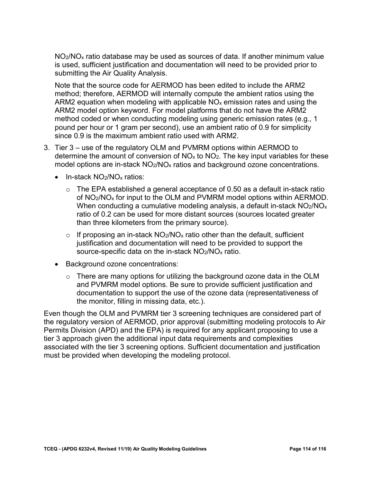$NO<sub>2</sub>/NO<sub>x</sub>$  ratio database may be used as sources of data. If another minimum value is used, sufficient justification and documentation will need to be provided prior to submitting the Air Quality Analysis.

 Note that the source code for AERMOD has been edited to include the ARM2 ARM2 equation when modeling with applicable NO $_\mathrm{\mathsf{x}}$  emission rates and using the pound per hour or 1 gram per second), use an ambient ratio of 0.9 for simplicity method; therefore, AERMOD will internally compute the ambient ratios using the ARM2 model option keyword. For model platforms that do not have the ARM2 method coded or when conducting modeling using generic emission rates (e.g., 1 since 0.9 is the maximum ambient ratio used with ARM2.

- 3. Tier 3 use of the regulatory OLM and PVMRM options within AERMOD to determine the amount of conversion of  $NO<sub>x</sub>$  to  $NO<sub>2</sub>$ . The key input variables for these model options are in-stack  $NO<sub>2</sub>/NO<sub>x</sub>$  ratios and background ozone concentrations.
	- In-stack NO<sub>2</sub>/NO<sub>x</sub> ratios:
		- $\circ$  The EPA established a general acceptance of 0.50 as a default in-stack ratio of NO2/NOx for input to the OLM and PVMRM model options within AERMOD. When conducting a cumulative modeling analysis, a default in-stack  $NO<sub>2</sub>/NO<sub>x</sub>$ ratio of 0.2 can be used for more distant sources (sources located greater than three kilometers from the primary source).
		- source-specific data on the in-stack  $\mathsf{NO_2/NO_x}$  ratio.  $\circ$  If proposing an in-stack NO<sub>2</sub>/NO<sub>x</sub> ratio other than the default, sufficient justification and documentation will need to be provided to support the
	- Background ozone concentrations:
		- the monitor, filling in missing data, etc.).  $\circ$  There are many options for utilizing the background ozone data in the OLM and PVMRM model options. Be sure to provide sufficient justification and documentation to support the use of the ozone data (representativeness of

Even though the OLM and PVMRM tier 3 screening techniques are considered part of the regulatory version of AERMOD, prior approval (submitting modeling protocols to Air Permits Division (APD) and the EPA) is required for any applicant proposing to use a tier 3 approach given the additional input data requirements and complexities associated with the tier 3 screening options. Sufficient documentation and justification must be provided when developing the modeling protocol.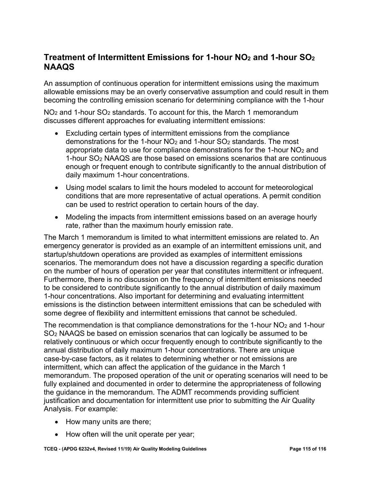### **Treatment of Intermittent Emissions for 1-hour NO<sub>2</sub> and 1-hour SO<sub>2</sub> NAAQS**

An assumption of continuous operation for intermittent emissions using the maximum allowable emissions may be an overly conservative assumption and could result in them becoming the controlling emission scenario for determining compliance with the 1-hour

 $NO<sub>2</sub>$  and 1-hour  $SO<sub>2</sub>$  standards. To account for this, the March 1 memorandum discusses different approaches for evaluating intermittent emissions:

- appropriate data to use for compliance demonstrations for the 1-hour NO $\rm_{2}$  and • Excluding certain types of intermittent emissions from the compliance demonstrations for the 1-hour  $NO<sub>2</sub>$  and 1-hour  $SO<sub>2</sub>$  standards. The most 1-hour SO2 NAAQS are those based on emissions scenarios that are continuous enough or frequent enough to contribute significantly to the annual distribution of daily maximum 1-hour concentrations.
- • Using model scalars to limit the hours modeled to account for meteorological conditions that are more representative of actual operations. A permit condition can be used to restrict operation to certain hours of the day.
- Modeling the impacts from intermittent emissions based on an average hourly rate, rather than the maximum hourly emission rate.

 startup/shutdown operations are provided as examples of intermittent emissions The March 1 memorandum is limited to what intermittent emissions are related to. An emergency generator is provided as an example of an intermittent emissions unit, and scenarios. The memorandum does not have a discussion regarding a specific duration on the number of hours of operation per year that constitutes intermittent or infrequent. Furthermore, there is no discussion on the frequency of intermittent emissions needed to be considered to contribute significantly to the annual distribution of daily maximum 1-hour concentrations. Also important for determining and evaluating intermittent emissions is the distinction between intermittent emissions that can be scheduled with some degree of flexibility and intermittent emissions that cannot be scheduled.

 fully explained and documented in order to determine the appropriateness of following the guidance in the memorandum. The ADMT recommends providing sufficient The recommendation is that compliance demonstrations for the 1-hour  $NO<sub>2</sub>$  and 1-hour SO2 NAAQS be based on emission scenarios that can logically be assumed to be relatively continuous or which occur frequently enough to contribute significantly to the annual distribution of daily maximum 1-hour concentrations. There are unique case-by-case factors, as it relates to determining whether or not emissions are intermittent, which can affect the application of the guidance in the March 1 memorandum. The proposed operation of the unit or operating scenarios will need to be justification and documentation for intermittent use prior to submitting the Air Quality Analysis. For example:

- How many units are there;
- How often will the unit operate per year;